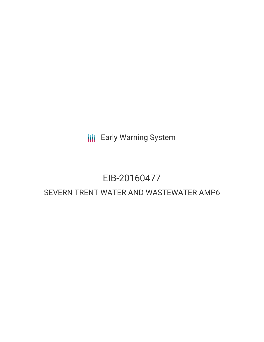**III** Early Warning System

# EIB-20160477

# SEVERN TRENT WATER AND WASTEWATER AMP6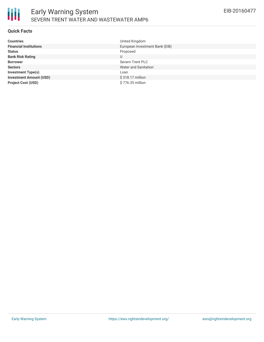

### **Quick Facts**

| <b>Countries</b>               | United Kingdom                 |
|--------------------------------|--------------------------------|
| <b>Financial Institutions</b>  | European Investment Bank (EIB) |
| <b>Status</b>                  | Proposed                       |
| <b>Bank Risk Rating</b>        | U                              |
| <b>Borrower</b>                | Severn Trent PLC               |
| <b>Sectors</b>                 | <b>Water and Sanitation</b>    |
| <b>Investment Type(s)</b>      | Loan                           |
| <b>Investment Amount (USD)</b> | \$318.17 million               |
| <b>Project Cost (USD)</b>      | \$776.35 million               |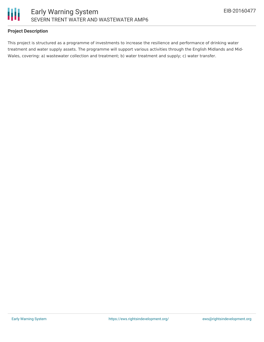

# **Project Description**

This project is structured as a programme of investments to increase the resilience and performance of drinking water treatment and water supply assets. The programme will support various activities through the English Midlands and Mid-Wales, covering: a) wastewater collection and treatment; b) water treatment and supply; c) water transfer.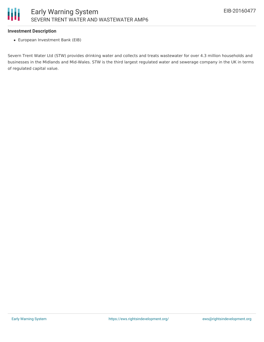# **Investment Description**

European Investment Bank (EIB)

Severn Trent Water Ltd (STW) provides drinking water and collects and treats wastewater for over 4.3 million households and businesses in the Midlands and Mid-Wales. STW is the third largest regulated water and sewerage company in the UK in terms of regulated capital value.